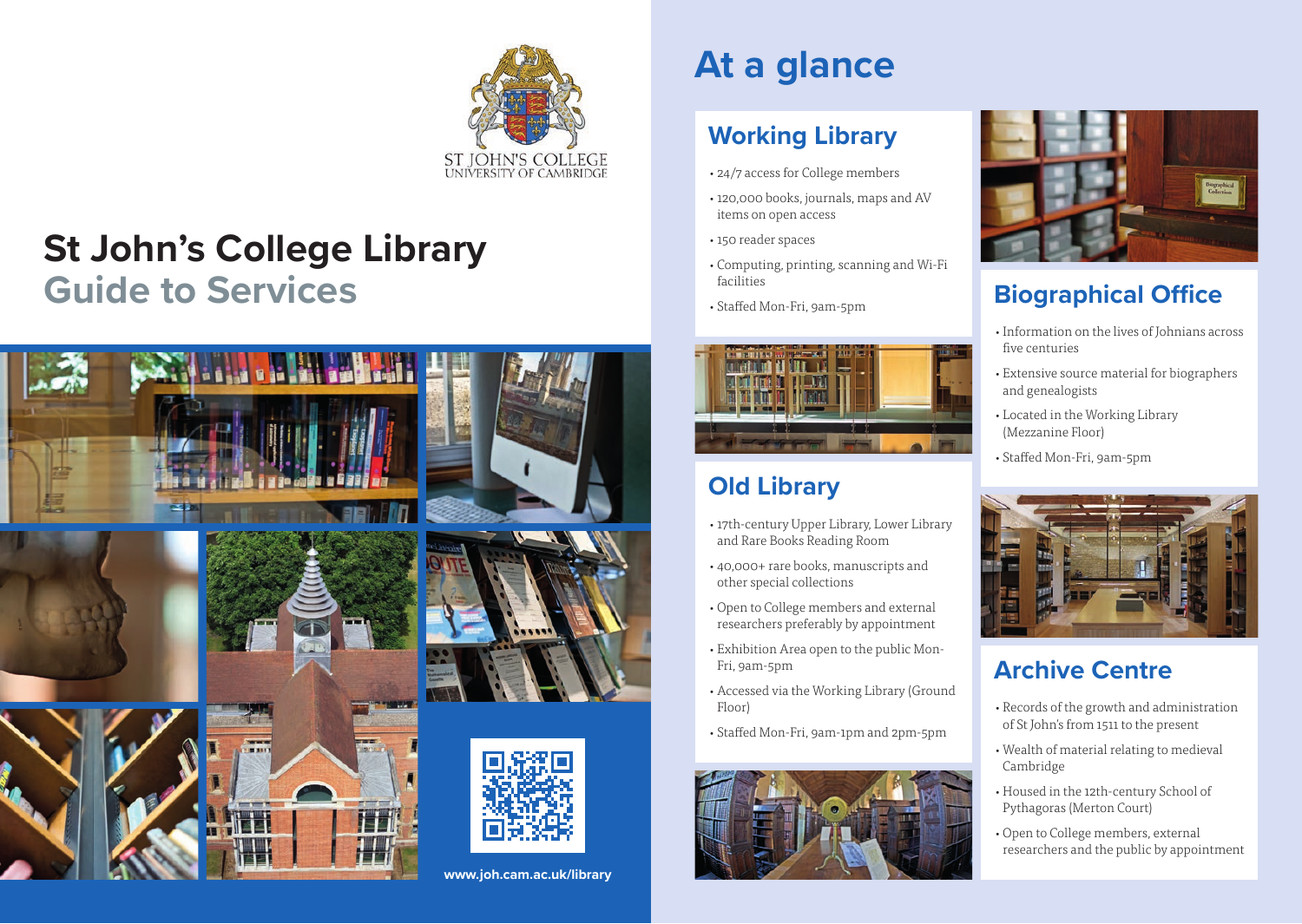

# **St John's College Library Guide to Services**



# **At a glance**

## **Working Library**

- •24/7 access for College members
- •120,000 books, journals, maps and AV items on open access
- •150 reader spaces
- •Computing, printing, scanning and Wi-Fi facilities
- •Staffed Mon-Fri, 9am-5pm



# **Old Library**

- •17th-century Upper Library, Lower Library and Rare Books Reading Room
- •40,000+ rare books, manuscripts and other special collections
- •Open to College members and external researchers preferably by appointment
- •Exhibition Area open to the public Mon-Fri, 9am-5pm
- •Accessed via the Working Library (Ground Floor)
- •Staffed Mon-Fri, 9am-1pm and 2pm-5pm





# **Biographical Office**

- •Information on the lives of Johnians across five centuries
- •Extensive source material for biographers and genealogists
- •Located in the Working Library (Mezzanine Floor)
- •Staffed Mon-Fri, 9am-5pm



## **Archive Centre**

- •Records of the growth and administration of St John's from 1511 to the present
- •Wealth of material relating to medieval Cambridge
- •Housed in the 12th-century School of Pythagoras (Merton Court)
- •Open to College members, external researchers and the public by appointment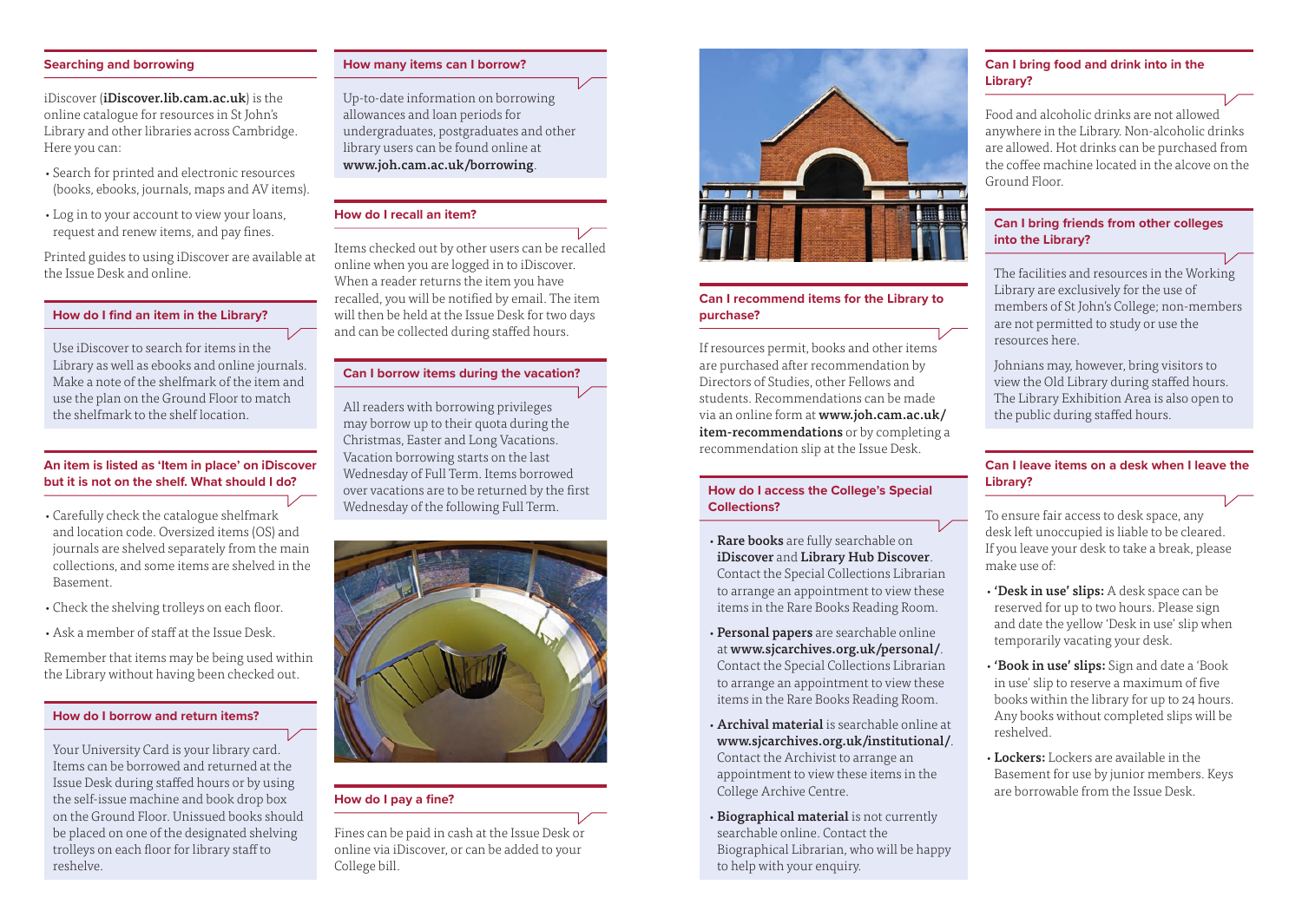#### **Searching and borrowing**

iDiscover (iDiscover.lib.cam.ac.uk) is the online catalogue for resources in St John's Library and other libraries across Cambridge. Here you can:

- •Search for printed and electronic resources (books, ebooks, journals, maps and AV items).
- •Log in to your account to view your loans, request and renew items, and pay fines.

Printed guides to using iDiscover are available at the Issue Desk and online.

#### **How do I find an item in the Library?**

Use iDiscover to search for items in the Library as well as ebooks and online journals. Make a note of the shelfmark of the item and use the plan on the Ground Floor to match the shelfmark to the shelf location.

#### **An item is listed as 'Item in place' on iDiscover but it is not on the shelf. What should I do?**

- •Carefully check the catalogue shelfmark and location code. Oversized items (OS) and journals are shelved separately from the main collections, and some items are shelved in the Basement.
- •Check the shelving trolleys on each floor.
- •Ask a member of staff at the Issue Desk.

Remember that items may be being used within the Library without having been checked out.

#### **How do I borrow and return items?**

Your University Card is your library card. Items can be borrowed and returned at the Issue Desk during staffed hours or by using the self-issue machine and book drop box on the Ground Floor. Unissued books should be placed on one of the designated shelving trolleys on each floor for library staff to reshelve.

#### **How many items can I borrow?**

Up-to-date information on borrowing allowances and loan periods for undergraduates, postgraduates and other library users can be found online at www.joh.cam.ac.uk/borrowing.

#### **How do I recall an item?**

Items checked out by other users can be recalled online when you are logged in to iDiscover. When a reader returns the item you have recalled, you will be notified by email. The item will then be held at the Issue Desk for two days and can be collected during staffed hours.

#### **Can I borrow items during the vacation?**

All readers with borrowing privileges may borrow up to their quota during the Christmas, Easter and Long Vacations. Vacation borrowing starts on the last Wednesday of Full Term. Items borrowed over vacations are to be returned by the first Wednesday of the following Full Term.



#### **How do I pay a fine?**

Fines can be paid in cash at the Issue Desk or online via iDiscover, or can be added to your College bill.



#### **Can I recommend items for the Library to purchase?**

If resources permit, books and other items are purchased after recommendation by Directors of Studies, other Fellows and students. Recommendations can be made via an online form at www.joh.cam.ac.uk/ item-recommendations or by completing a recommendation slip at the Issue Desk.

#### **How do I access the College's Special Collections?**

- Rare books are fully searchable on iDiscover and Library Hub Discover. Contact the Special Collections Librarian to arrange an appointment to view these items in the Rare Books Reading Room.
- Personal papers are searchable online at www.sjcarchives.org.uk/personal/. Contact the Special Collections Librarian to arrange an appointment to view these items in the Rare Books Reading Room.
- •Archival material is searchable online at www.sjcarchives.org.uk/institutional/. Contact the Archivist to arrange an appointment to view these items in the College Archive Centre.
- Biographical material is not currently searchable online. Contact the Biographical Librarian, who will be happy to help with your enquiry.

#### **Can I bring food and drink into in the Library?**

Food and alcoholic drinks are not allowed anywhere in the Library. Non-alcoholic drinks are allowed. Hot drinks can be purchased from the coffee machine located in the alcove on the Ground Floor.

#### **Can I bring friends from other colleges into the Library?**

The facilities and resources in the Working Library are exclusively for the use of members of St John's College; non-members are not permitted to study or use the resources here.

Johnians may, however, bring visitors to view the Old Library during staffed hours. The Library Exhibition Area is also open to the public during staffed hours.

#### **Can I leave items on a desk when I leave the Library?**

To ensure fair access to desk space, any desk left unoccupied is liable to be cleared. If you leave your desk to take a break, please make use of:

- •'Desk in use' slips: A desk space can be reserved for up to two hours. Please sign and date the yellow 'Desk in use' slip when temporarily vacating your desk.
- 'Book in use' slips: Sign and date a 'Book in use' slip to reserve a maximum of five books within the library for up to 24 hours. Any books without completed slips will be reshelved.
- •Lockers: Lockers are available in the Basement for use by junior members. Keys are borrowable from the Issue Desk.